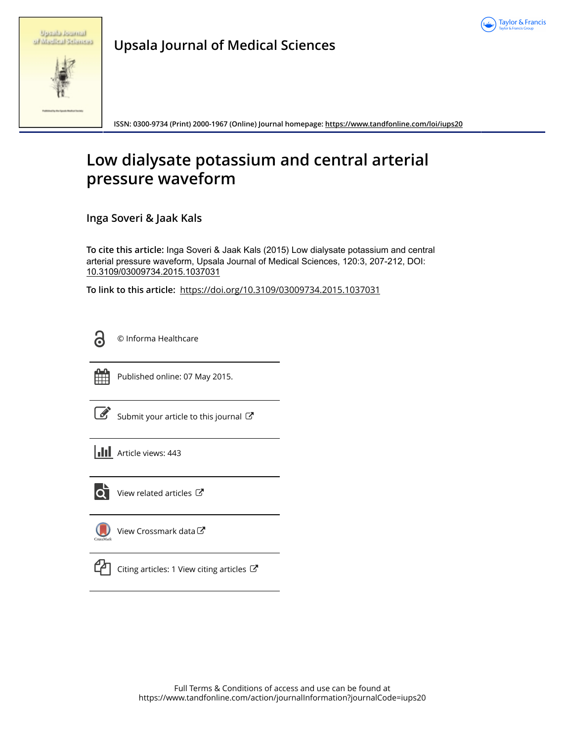

|  | <b>Spraha</b> Russiana |
|--|------------------------|
|  | of Madical Sciences    |

**Upsala Journal of Medical Sciences**

**ISSN: 0300-9734 (Print) 2000-1967 (Online) Journal homepage:<https://www.tandfonline.com/loi/iups20>**

# **Low dialysate potassium and central arterial pressure waveform**

**Inga Soveri & Jaak Kals**

**To cite this article:** Inga Soveri & Jaak Kals (2015) Low dialysate potassium and central arterial pressure waveform, Upsala Journal of Medical Sciences, 120:3, 207-212, DOI: [10.3109/03009734.2015.1037031](https://www.tandfonline.com/action/showCitFormats?doi=10.3109/03009734.2015.1037031)

**To link to this article:** <https://doi.org/10.3109/03009734.2015.1037031>



© Informa Healthcare



Published online: 07 May 2015.

|--|

[Submit your article to this journal](https://www.tandfonline.com/action/authorSubmission?journalCode=iups20&show=instructions)  $\mathbb{Z}$ 





 $\overrightarrow{Q}$  [View related articles](https://www.tandfonline.com/doi/mlt/10.3109/03009734.2015.1037031)  $\overrightarrow{C}$ 

[View Crossmark data](http://crossmark.crossref.org/dialog/?doi=10.3109/03009734.2015.1037031&domain=pdf&date_stamp=2015-05-07)<sup>C</sup>



 $\Box$  [Citing articles: 1 View citing articles](https://www.tandfonline.com/doi/citedby/10.3109/03009734.2015.1037031#tabModule)  $\Box$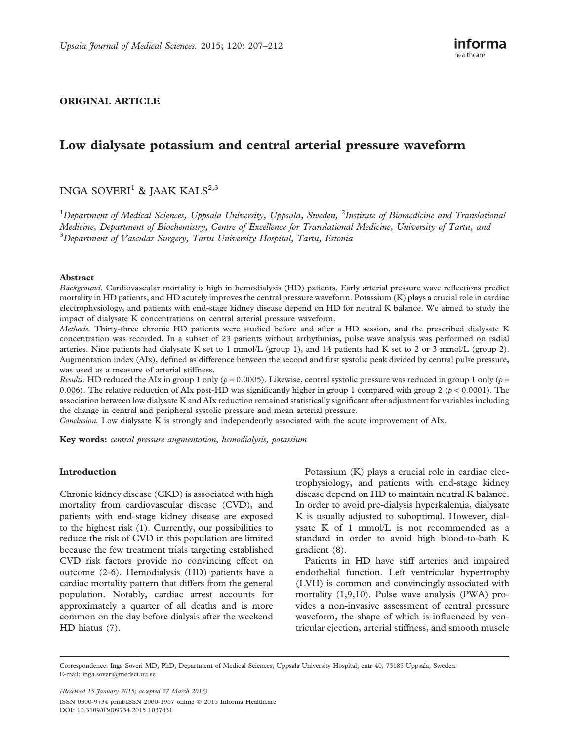### ORIGINAL ARTICLE

# Low dialysate potassium and central arterial pressure waveform

# INGA SOVERI<sup>1</sup> & JAAK KALS<sup>2,3</sup>

<sup>1</sup>Department of Medical Sciences, Uppsala University, Uppsala, Sweden, <sup>2</sup>Institute of Biomedicine and Translational Medicine, Department of Biochemistry, Centre of Excellence for Translational Medicine, University of Tartu, and <sup>3</sup>Department of Vascular Surgery, Tartu University Hospital, Tartu, Estonia

#### Abstract

Background. Cardiovascular mortality is high in hemodialysis (HD) patients. Early arterial pressure wave reflections predict mortality in HD patients, and HD acutely improves the central pressure waveform. Potassium (K) plays a crucial role in cardiac electrophysiology, and patients with end-stage kidney disease depend on HD for neutral K balance. We aimed to study the impact of dialysate K concentrations on central arterial pressure waveform.

Methods. Thirty-three chronic HD patients were studied before and after a HD session, and the prescribed dialysate K concentration was recorded. In a subset of 23 patients without arrhythmias, pulse wave analysis was performed on radial arteries. Nine patients had dialysate K set to 1 mmol/L (group 1), and 14 patients had K set to 2 or 3 mmol/L (group 2). Augmentation index (AIx), defined as difference between the second and first systolic peak divided by central pulse pressure, was used as a measure of arterial stiffness.

Results. HD reduced the AIx in group 1 only ( $p = 0.0005$ ). Likewise, central systolic pressure was reduced in group 1 only ( $p =$ 0.006). The relative reduction of AIx post-HD was significantly higher in group 1 compared with group 2 ( $p < 0.0001$ ). The association between low dialysate K and AIx reduction remained statistically significant after adjustment for variables including the change in central and peripheral systolic pressure and mean arterial pressure.

Conclusion. Low dialysate K is strongly and independently associated with the acute improvement of AIx.

Key words: central pressure augmentation, hemodialysis, potassium

## Introduction

Chronic kidney disease (CKD) is associated with high mortality from cardiovascular disease (CVD), and patients with end-stage kidney disease are exposed to the highest risk [\(1](#page-5-0)). Currently, our possibilities to reduce the risk of CVD in this population are limited because the few treatment trials targeting established CVD risk factors provide no convincing effect on outcome ([2-6\)](#page-5-0). Hemodialysis (HD) patients have a cardiac mortality pattern that differs from the general population. Notably, cardiac arrest accounts for approximately a quarter of all deaths and is more common on the day before dialysis after the weekend HD hiatus [\(7\)](#page-5-0).

Potassium (K) plays a crucial role in cardiac electrophysiology, and patients with end-stage kidney disease depend on HD to maintain neutral K balance. In order to avoid pre-dialysis hyperkalemia, dialysate K is usually adjusted to suboptimal. However, dialysate K of 1 mmol/L is not recommended as a standard in order to avoid high blood-to-bath K gradient [\(8\)](#page-5-0).

Patients in HD have stiff arteries and impaired endothelial function. Left ventricular hypertrophy (LVH) is common and convincingly associated with mortality ([1,9,10](#page-5-0)). Pulse wave analysis (PWA) provides a non-invasive assessment of central pressure waveform, the shape of which is influenced by ventricular ejection, arterial stiffness, and smooth muscle

Correspondence: Inga Soveri MD, PhD, Department of Medical Sciences, Uppsala University Hospital, entr 40, 75185 Uppsala, Sweden. E-mail: [inga.soveri@medsci.uu.se](mailto:inga.soveri@medsci.uu.se)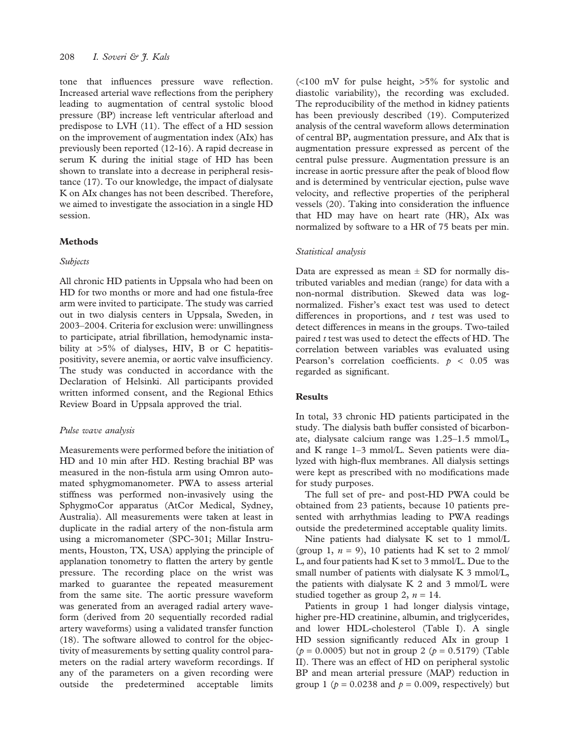tone that influences pressure wave reflection. Increased arterial wave reflections from the periphery leading to augmentation of central systolic blood pressure (BP) increase left ventricular afterload and predispose to LVH [\(11\)](#page-5-0). The effect of a HD session on the improvement of augmentation index (AIx) has previously been reported [\(12-16](#page-6-0)). A rapid decrease in serum K during the initial stage of HD has been shown to translate into a decrease in peripheral resistance ([17\)](#page-6-0). To our knowledge, the impact of dialysate K on AIx changes has not been described. Therefore, we aimed to investigate the association in a single HD session.

#### Methods

#### Subjects

All chronic HD patients in Uppsala who had been on HD for two months or more and had one fistula-free arm were invited to participate. The study was carried out in two dialysis centers in Uppsala, Sweden, in 2003–2004. Criteria for exclusion were: unwillingness to participate, atrial fibrillation, hemodynamic instability at  $>5\%$  of dialyses, HIV, B or C hepatitispositivity, severe anemia, or aortic valve insufficiency. The study was conducted in accordance with the Declaration of Helsinki. All participants provided written informed consent, and the Regional Ethics Review Board in Uppsala approved the trial.

#### Pulse wave analysis

Measurements were performed before the initiation of HD and 10 min after HD. Resting brachial BP was measured in the non-fistula arm using Omron automated sphygmomanometer. PWA to assess arterial stiffness was performed non-invasively using the SphygmoCor apparatus (AtCor Medical, Sydney, Australia). All measurements were taken at least in duplicate in the radial artery of the non-fistula arm using a micromanometer (SPC-301; Millar Instruments, Houston, TX, USA) applying the principle of applanation tonometry to flatten the artery by gentle pressure. The recording place on the wrist was marked to guarantee the repeated measurement from the same site. The aortic pressure waveform was generated from an averaged radial artery waveform (derived from 20 sequentially recorded radial artery waveforms) using a validated transfer function ([18](#page-6-0)). The software allowed to control for the objectivity of measurements by setting quality control parameters on the radial artery waveform recordings. If any of the parameters on a given recording were outside the predetermined acceptable limits

(<100 mV for pulse height, >5% for systolic and diastolic variability), the recording was excluded. The reproducibility of the method in kidney patients has been previously described [\(19\)](#page-6-0). Computerized analysis of the central waveform allows determination of central BP, augmentation pressure, and AIx that is augmentation pressure expressed as percent of the central pulse pressure. Augmentation pressure is an increase in aortic pressure after the peak of blood flow and is determined by ventricular ejection, pulse wave velocity, and reflective properties of the peripheral vessels [\(20](#page-6-0)). Taking into consideration the influence that HD may have on heart rate (HR), AIx was normalized by software to a HR of 75 beats per min.

#### Statistical analysis

Data are expressed as mean  $\pm$  SD for normally distributed variables and median (range) for data with a non-normal distribution. Skewed data was lognormalized. Fisher's exact test was used to detect differences in proportions, and  $t$  test was used to detect differences in means in the groups. Two-tailed paired  $t$  test was used to detect the effects of HD. The correlation between variables was evaluated using Pearson's correlation coefficients.  $p < 0.05$  was regarded as significant.

#### Results

In total, 33 chronic HD patients participated in the study. The dialysis bath buffer consisted of bicarbonate, dialysate calcium range was 1.25–1.5 mmol/L, and K range 1–3 mmol/L. Seven patients were dialyzed with high-flux membranes. All dialysis settings were kept as prescribed with no modifications made for study purposes.

The full set of pre- and post-HD PWA could be obtained from 23 patients, because 10 patients presented with arrhythmias leading to PWA readings outside the predetermined acceptable quality limits.

Nine patients had dialysate K set to 1 mmol/L (group 1,  $n = 9$ ), 10 patients had K set to 2 mmol/ L, and four patients had K set to 3 mmol/L. Due to the small number of patients with dialysate K 3 mmol/L, the patients with dialysate K 2 and 3 mmol/L were studied together as group 2,  $n = 14$ .

Patients in group 1 had longer dialysis vintage, higher pre-HD creatinine, albumin, and triglycerides, and lower HDL-cholesterol [\(Table I](#page-3-0)). A single HD session significantly reduced AIx in group 1  $(p = 0.0005)$  but not in group 2  $(p = 0.5179)$  ([Table](#page-4-0) [II](#page-4-0)). There was an effect of HD on peripheral systolic BP and mean arterial pressure (MAP) reduction in group 1 ( $p = 0.0238$  and  $p = 0.009$ , respectively) but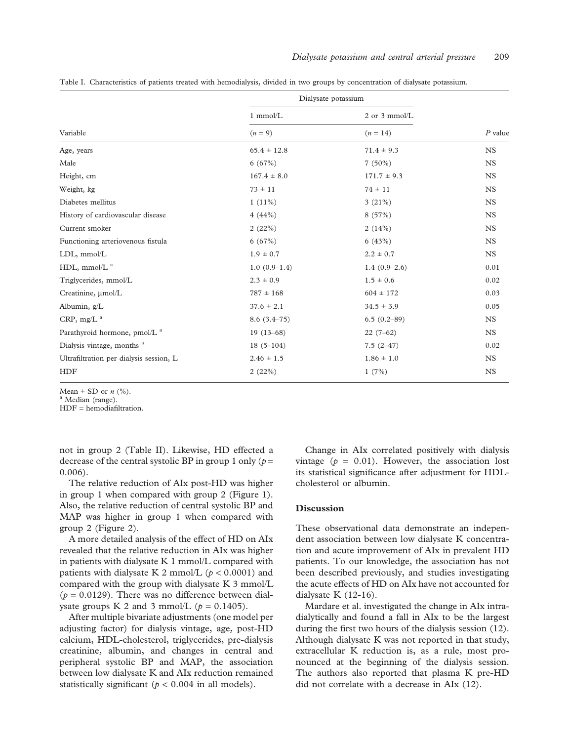|                                          | Dialysate potassium |                             |             |
|------------------------------------------|---------------------|-----------------------------|-------------|
|                                          | $1$ mmol/ $L$       | 2 or 3 mmol/L<br>$(n = 14)$ | $P$ value   |
| Variable                                 | $(n = 9)$           |                             |             |
| Age, years                               | $65.4 \pm 12.8$     | $71.4 \pm 9.3$              | <b>NS</b>   |
| Male                                     | 6(67%)              | $7(50\%)$                   | <b>NS</b>   |
| Height, cm                               | $167.4 \pm 8.0$     | $171.7 \pm 9.3$             | <b>NS</b>   |
| Weight, kg                               | $73 \pm 11$         | $74 \pm 11$                 | <b>NS</b>   |
| Diabetes mellitus                        | $1(11\%)$           | 3(21%)                      | <b>NS</b>   |
| History of cardiovascular disease        | 4(44%)              | 8(57%)                      | <b>NS</b>   |
| Current smoker                           | 2(22%)              | 2(14%)                      | <b>NS</b>   |
| Functioning arteriovenous fistula        | 6(67%)              | 6(43%)                      | <b>NS</b>   |
| LDL, mmol/L                              | $1.9 \pm 0.7$       | $2.2 \pm 0.7$               | <b>NS</b>   |
| $HDL$ , mmol/ $L^a$                      | $1.0(0.9-1.4)$      | $1.4(0.9-2.6)$              | 0.01        |
| Triglycerides, mmol/L                    | $2.3 \pm 0.9$       | $1.5 \pm 0.6$               | 0.02        |
| Creatinine, µmol/L                       | $787 \pm 168$       | $604 \pm 172$               | 0.03        |
| Albumin, g/L                             | $37.6 \pm 2.1$      | $34.5 \pm 3.9$              | 0.05        |
| $CRP$ , mg/L $^a$                        | 8.6(3.4–75)         | $6.5(0.2-89)$               | <b>NS</b>   |
| Parathyroid hormone, pmol/L <sup>a</sup> | $19(13-68)$         | $22(7-62)$                  | <b>NS</b>   |
| Dialysis vintage, months <sup>a</sup>    | $18(5-104)$         | $7.5(2-47)$                 | 0.02        |
| Ultrafiltration per dialysis session, L  | $2.46 \pm 1.5$      | $1.86 \pm 1.0$              | <b>NS</b>   |
| <b>HDF</b>                               | 2(22%)              | 1(7%)                       | $_{\rm NS}$ |
|                                          |                     |                             |             |

<span id="page-3-0"></span>Table I. Characteristics of patients treated with hemodialysis, divided in two groups by concentration of dialysate potassium.

Mean  $\pm$  SD or *n* (%).<br><sup>a</sup> Median (range).

HDF = hemodiafiltration.

not in group 2 [\(Table II](#page-4-0)). Likewise, HD effected a decrease of the central systolic BP in group 1 only ( $p =$ 0.006).

The relative reduction of AIx post-HD was higher in group 1 when compared with group 2 ([Figure 1](#page-4-0)). Also, the relative reduction of central systolic BP and MAP was higher in group 1 when compared with group 2 [\(Figure 2](#page-5-0)).

A more detailed analysis of the effect of HD on AIx revealed that the relative reduction in AIx was higher in patients with dialysate K 1 mmol/L compared with patients with dialysate K 2 mmol/L ( $p < 0.0001$ ) and compared with the group with dialysate K 3 mmol/L  $(p = 0.0129)$ . There was no difference between dialysate groups K 2 and 3 mmol/L ( $p = 0.1405$ ).

After multiple bivariate adjustments (one model per adjusting factor) for dialysis vintage, age, post-HD calcium, HDL-cholesterol, triglycerides, pre-dialysis creatinine, albumin, and changes in central and peripheral systolic BP and MAP, the association between low dialysate K and AIx reduction remained statistically significant ( $p < 0.004$  in all models).

Change in AIx correlated positively with dialysis vintage ( $p = 0.01$ ). However, the association lost its statistical significance after adjustment for HDLcholesterol or albumin.

#### **Discussion**

These observational data demonstrate an independent association between low dialysate K concentration and acute improvement of AIx in prevalent HD patients. To our knowledge, the association has not been described previously, and studies investigating the acute effects of HD on AIx have not accounted for dialysate K [\(12](#page-6-0)-[16\)](#page-6-0).

Mardare et al. investigated the change in AIx intradialytically and found a fall in AIx to be the largest during the first two hours of the dialysis session [\(12\)](#page-6-0). Although dialysate K was not reported in that study, extracellular K reduction is, as a rule, most pronounced at the beginning of the dialysis session. The authors also reported that plasma K pre-HD did not correlate with a decrease in AIx ([12\)](#page-6-0).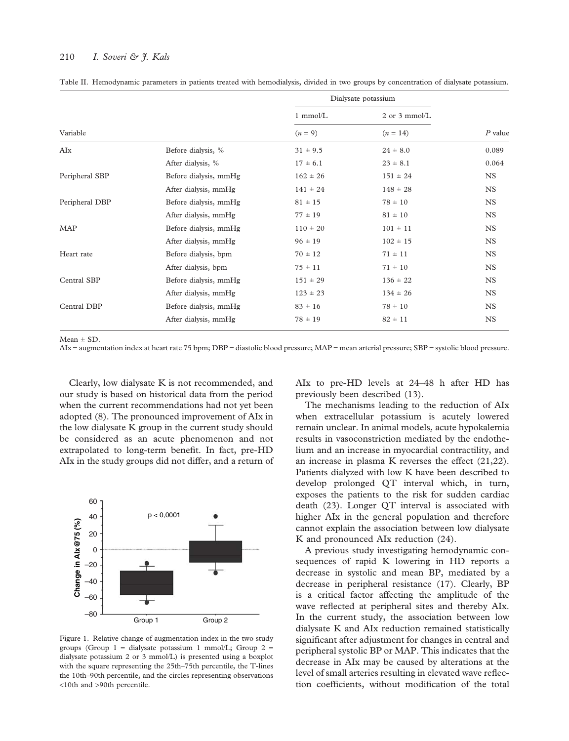## <span id="page-4-0"></span>210 I. Soveri & J. Kals

|                |                       | Dialysate potassium   |                             |             |
|----------------|-----------------------|-----------------------|-----------------------------|-------------|
|                |                       | 1 mmol/L<br>$(n = 9)$ | 2 or 3 mmol/L<br>$(n = 14)$ | $P$ value   |
| Variable       |                       |                       |                             |             |
| $\rm A I x$    | Before dialysis, %    | $31 \pm 9.5$          | $24 \pm 8.0$                | 0.089       |
|                | After dialysis, %     | $17 \pm 6.1$          | $23 \pm 8.1$                | 0.064       |
| Peripheral SBP | Before dialysis, mmHg | $162 \pm 26$          | $151 \pm 24$                | <b>NS</b>   |
|                | After dialysis, mmHg  | $141 \pm 24$          | $148 \pm 28$                | <b>NS</b>   |
| Peripheral DBP | Before dialysis, mmHg | $81 \pm 15$           | $78 \pm 10$                 | NS          |
|                | After dialysis, mmHg  | $77 \pm 19$           | $81 \pm 10$                 | <b>NS</b>   |
| <b>MAP</b>     | Before dialysis, mmHg | $110 \pm 20$          | $101 \pm 11$                | <b>NS</b>   |
|                | After dialysis, mmHg  | $96 \pm 19$           | $102 \pm 15$                | <b>NS</b>   |
| Heart rate     | Before dialysis, bpm  | $70 \pm 12$           | $71 \pm 11$                 | <b>NS</b>   |
|                | After dialysis, bpm   | $75 \pm 11$           | $71 \pm 10$                 | NS          |
| Central SBP    | Before dialysis, mmHg | $151 \pm 29$          | $136 \pm 22$                | <b>NS</b>   |
|                | After dialysis, mmHg  | $123 \pm 23$          | $134 \pm 26$                | <b>NS</b>   |
| Central DBP    | Before dialysis, mmHg | $83 \pm 16$           | $78 \pm 10$                 | <b>NS</b>   |
|                | After dialysis, mmHg  | $78 \pm 19$           | $82 \pm 11$                 | $_{\rm NS}$ |

Table II. Hemodynamic parameters in patients treated with hemodialysis, divided in two groups by concentration of dialysate potassium.

 $Mean \pm SD$ .

AIx = augmentation index at heart rate 75 bpm; DBP = diastolic blood pressure; MAP = mean arterial pressure; SBP = systolic blood pressure.

Clearly, low dialysate K is not recommended, and our study is based on historical data from the period when the current recommendations had not yet been adopted ([8](#page-5-0)). The pronounced improvement of AIx in the low dialysate K group in the current study should be considered as an acute phenomenon and not extrapolated to long-term benefit. In fact, pre-HD AIx in the study groups did not differ, and a return of



Figure 1. Relative change of augmentation index in the two study groups (Group  $1 =$  dialysate potassium 1 mmol/L; Group  $2 =$ dialysate potassium 2 or 3 mmol/L) is presented using a boxplot with the square representing the 25th–75th percentile, the T-lines the 10th–90th percentile, and the circles representing observations <10th and >90th percentile.

AIx to pre-HD levels at 24–48 h after HD has previously been described ([13\)](#page-6-0).

The mechanisms leading to the reduction of AIx when extracellular potassium is acutely lowered remain unclear. In animal models, acute hypokalemia results in vasoconstriction mediated by the endothelium and an increase in myocardial contractility, and an increase in plasma K reverses the effect [\(21,22\)](#page-6-0). Patients dialyzed with low K have been described to develop prolonged QT interval which, in turn, exposes the patients to the risk for sudden cardiac death [\(23](#page-6-0)). Longer QT interval is associated with higher AIx in the general population and therefore cannot explain the association between low dialysate K and pronounced AIx reduction ([24\)](#page-6-0).

A previous study investigating hemodynamic consequences of rapid K lowering in HD reports a decrease in systolic and mean BP, mediated by a decrease in peripheral resistance [\(17](#page-6-0)). Clearly, BP is a critical factor affecting the amplitude of the wave reflected at peripheral sites and thereby AIx. In the current study, the association between low dialysate K and AIx reduction remained statistically significant after adjustment for changes in central and peripheral systolic BP or MAP. This indicates that the decrease in AIx may be caused by alterations at the level of small arteries resulting in elevated wave reflection coefficients, without modification of the total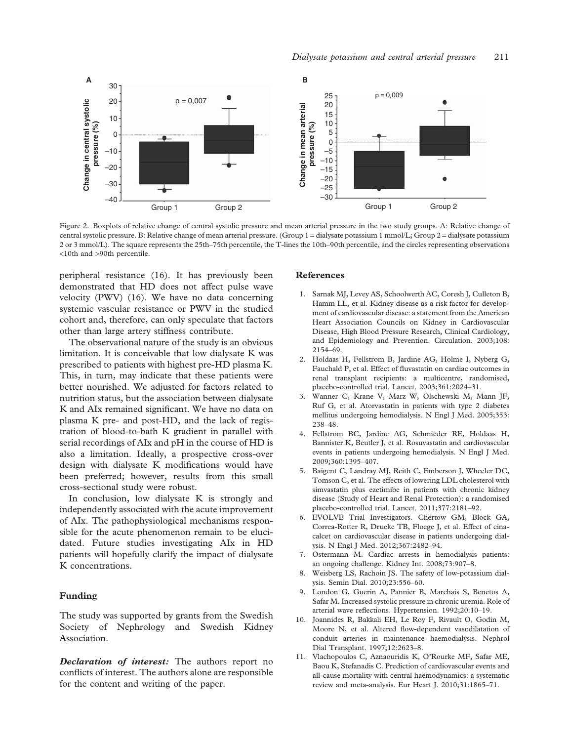<span id="page-5-0"></span>

Figure 2. Boxplots of relative change of central systolic pressure and mean arterial pressure in the two study groups. A: Relative change of central systolic pressure. B: Relative change of mean arterial pressure. (Group 1 = dialysate potassium 1 mmol/L; Group 2 = dialysate potassium 2 or 3 mmol/L). The square represents the 25th–75th percentile, the T-lines the 10th–90th percentile, and the circles representing observations <10th and >90th percentile.

peripheral resistance [\(16](#page-6-0)). It has previously been demonstrated that HD does not affect pulse wave velocity (PWV) [\(16](#page-6-0)). We have no data concerning systemic vascular resistance or PWV in the studied cohort and, therefore, can only speculate that factors other than large artery stiffness contribute.

The observational nature of the study is an obvious limitation. It is conceivable that low dialysate K was prescribed to patients with highest pre-HD plasma K. This, in turn, may indicate that these patients were better nourished. We adjusted for factors related to nutrition status, but the association between dialysate K and AIx remained significant. We have no data on plasma K pre- and post-HD, and the lack of registration of blood-to-bath K gradient in parallel with serial recordings of AIx and pH in the course of HD is also a limitation. Ideally, a prospective cross-over design with dialysate K modifications would have been preferred; however, results from this small cross-sectional study were robust.

In conclusion, low dialysate K is strongly and independently associated with the acute improvement of AIx. The pathophysiological mechanisms responsible for the acute phenomenon remain to be elucidated. Future studies investigating AIx in HD patients will hopefully clarify the impact of dialysate K concentrations.

#### Funding

The study was supported by grants from the Swedish Society of Nephrology and Swedish Kidney Association.

**Declaration of interest:** The authors report no conflicts of interest. The authors alone are responsible for the content and writing of the paper.

#### References

- 1. Sarnak MJ, Levey AS, Schoolwerth AC, Coresh J, Culleton B, Hamm LL, et al. [Kidney disease as a risk factor for develop](http://www.ncbi.nlm.nih.gov/pubmed/14581387?dopt=Abstract)[ment of cardiovascular disease: a statement from the American](http://www.ncbi.nlm.nih.gov/pubmed/14581387?dopt=Abstract) [Heart Association Councils on Kidney in Cardiovascular](http://www.ncbi.nlm.nih.gov/pubmed/14581387?dopt=Abstract) [Disease, High Blood Pressure Research, Clinical Cardiology,](http://www.ncbi.nlm.nih.gov/pubmed/14581387?dopt=Abstract) [and Epidemiology and Prevention](http://www.ncbi.nlm.nih.gov/pubmed/14581387?dopt=Abstract). Circulation. 2003;108: 2154–69.
- 2. Holdaas H, Fellstrom B, Jardine AG, Holme I, Nyberg G, Fauchald P, et al. Effect of fl[uvastatin on cardiac outcomes in](http://www.ncbi.nlm.nih.gov/pubmed/12814712?dopt=Abstract) [renal transplant recipients: a multicentre, randomised,](http://www.ncbi.nlm.nih.gov/pubmed/12814712?dopt=Abstract) [placebo-controlled trial](http://www.ncbi.nlm.nih.gov/pubmed/12814712?dopt=Abstract). Lancet. 2003;361:2024–31.
- 3. Wanner C, Krane V, Marz W, Olschewski M, Mann JF, Ruf G, et al. [Atorvastatin in patients with type 2 diabetes](http://www.ncbi.nlm.nih.gov/pubmed/16034009?dopt=Abstract) [mellitus undergoing hemodialysis.](http://www.ncbi.nlm.nih.gov/pubmed/16034009?dopt=Abstract) N Engl J Med. 2005;353: 238–48.
- 4. Fellstrom BC, Jardine AG, Schmieder RE, Holdaas H, Bannister K, Beutler J, et al. [Rosuvastatin and cardiovascular](http://www.ncbi.nlm.nih.gov/pubmed/19332456?dopt=Abstract) [events in patients undergoing hemodialysis](http://www.ncbi.nlm.nih.gov/pubmed/19332456?dopt=Abstract). N Engl J Med. 2009;360:1395–407.
- 5. Baigent C, Landray MJ, Reith C, Emberson J, Wheeler DC, Tomson C, et al. [The effects of lowering LDL cholesterol with](http://www.ncbi.nlm.nih.gov/pubmed/21663949?dopt=Abstract) [simvastatin plus ezetimibe in patients with chronic kidney](http://www.ncbi.nlm.nih.gov/pubmed/21663949?dopt=Abstract) [disease \(Study of Heart and Renal Protection\): a randomised](http://www.ncbi.nlm.nih.gov/pubmed/21663949?dopt=Abstract) [placebo-controlled trial](http://www.ncbi.nlm.nih.gov/pubmed/21663949?dopt=Abstract). Lancet. 2011;377:2181–92.
- 6. EVOLVE Trial Investigators. Chertow GM, Block GA, Correa-Rotter R, Drueke TB, Floege J, et al. Effect of cinacalcet on cardiovascular disease in patients undergoing dialysis. N Engl J Med. 2012;367:2482–94.
- 7. Ostermann M. [Cardiac arrests in hemodialysis patients:](http://www.ncbi.nlm.nih.gov/pubmed/18379526?dopt=Abstract) [an ongoing challenge](http://www.ncbi.nlm.nih.gov/pubmed/18379526?dopt=Abstract). Kidney Int. 2008;73:907–8.
- 8. Weisberg LS, Rachoin JS. [The safety of low-potassium dial](http://www.ncbi.nlm.nih.gov/pubmed/21166879?dopt=Abstract)[ysis.](http://www.ncbi.nlm.nih.gov/pubmed/21166879?dopt=Abstract) Semin Dial. 2010;23:556–60.
- 9. London G, Guerin A, Pannier B, Marchais S, Benetos A, Safar M. [Increased systolic pressure in chronic uremia. Role of](http://www.ncbi.nlm.nih.gov/pubmed/1618545?dopt=Abstract) [arterial wave re](http://www.ncbi.nlm.nih.gov/pubmed/1618545?dopt=Abstract)flections. Hypertension. 1992;20:10–19.
- 10. Joannides R, Bakkali EH, Le Roy F, Rivault O, Godin M, Moore N, et al. Altered fl[ow-dependent vasodilatation of](http://www.ncbi.nlm.nih.gov/pubmed/9430862?dopt=Abstract) [conduit arteries in maintenance haemodialysis.](http://www.ncbi.nlm.nih.gov/pubmed/9430862?dopt=Abstract) Nephrol Dial Transplant. 1997;12:2623–8.
- 11. Vlachopoulos C, Aznaouridis K, O'Rourke MF, Safar ME, Baou K, Stefanadis C. [Prediction of cardiovascular events and](http://www.ncbi.nlm.nih.gov/pubmed/20197424?dopt=Abstract) [all-cause mortality with central haemodynamics: a systematic](http://www.ncbi.nlm.nih.gov/pubmed/20197424?dopt=Abstract) [review and meta-analysis](http://www.ncbi.nlm.nih.gov/pubmed/20197424?dopt=Abstract). Eur Heart J. 2010;31:1865–71.